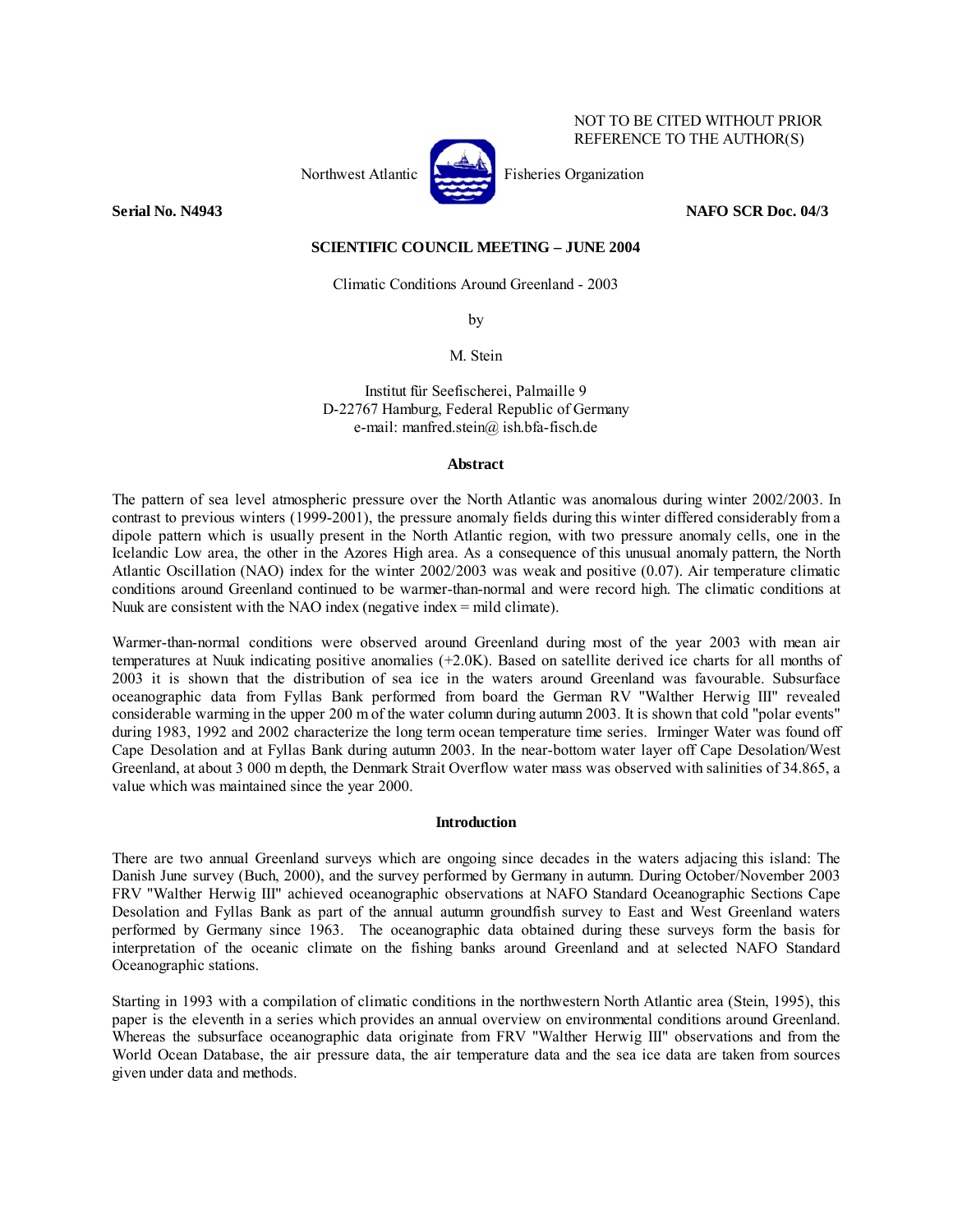

NOT TO BE CITED WITHOUT PRIOR REFERENCE TO THE AUTHOR(S)

### **Serial No. N4943** NAFO SCR Doc. 04/3

## **SCIENTIFIC COUNCIL MEETING – JUNE 2004**

Climatic Conditions Around Greenland - 2003

by

M. Stein

Institut für Seefischerei, Palmaille 9 D-22767 Hamburg, Federal Republic of Germany e-mail: manfred.stein@ ish.bfa-fisch.de

### **Abstract**

The pattern of sea level atmospheric pressure over the North Atlantic was anomalous during winter 2002/2003. In contrast to previous winters (1999-2001), the pressure anomaly fields during this winter differed considerably from a dipole pattern which is usually present in the North Atlantic region, with two pressure anomaly cells, one in the Icelandic Low area, the other in the Azores High area. As a consequence of this unusual anomaly pattern, the North Atlantic Oscillation (NAO) index for the winter 2002/2003 was weak and positive (0.07). Air temperature climatic conditions around Greenland continued to be warmer-than-normal and were record high. The climatic conditions at Nuuk are consistent with the NAO index (negative index = mild climate).

Warmer-than-normal conditions were observed around Greenland during most of the year 2003 with mean air temperatures at Nuuk indicating positive anomalies (+2.0K). Based on satellite derived ice charts for all months of 2003 it is shown that the distribution of sea ice in the waters around Greenland was favourable. Subsurface oceanographic data from Fyllas Bank performed from board the German RV "Walther Herwig III" revealed considerable warming in the upper 200 m of the water column during autumn 2003. It is shown that cold "polar events" during 1983, 1992 and 2002 characterize the long term ocean temperature time series. Irminger Water was found off Cape Desolation and at Fyllas Bank during autumn 2003. In the near-bottom water layer off Cape Desolation/West Greenland, at about 3 000 m depth, the Denmark Strait Overflow water mass was observed with salinities of 34.865, a value which was maintained since the year 2000.

# **Introduction**

There are two annual Greenland surveys which are ongoing since decades in the waters adjacing this island: The Danish June survey (Buch, 2000), and the survey performed by Germany in autumn. During October/November 2003 FRV "Walther Herwig III" achieved oceanographic observations at NAFO Standard Oceanographic Sections Cape Desolation and Fyllas Bank as part of the annual autumn groundfish survey to East and West Greenland waters performed by Germany since 1963. The oceanographic data obtained during these surveys form the basis for interpretation of the oceanic climate on the fishing banks around Greenland and at selected NAFO Standard Oceanographic stations.

Starting in 1993 with a compilation of climatic conditions in the northwestern North Atlantic area (Stein, 1995), this paper is the eleventh in a series which provides an annual overview on environmental conditions around Greenland. Whereas the subsurface oceanographic data originate from FRV "Walther Herwig III" observations and from the World Ocean Database, the air pressure data, the air temperature data and the sea ice data are taken from sources given under data and methods.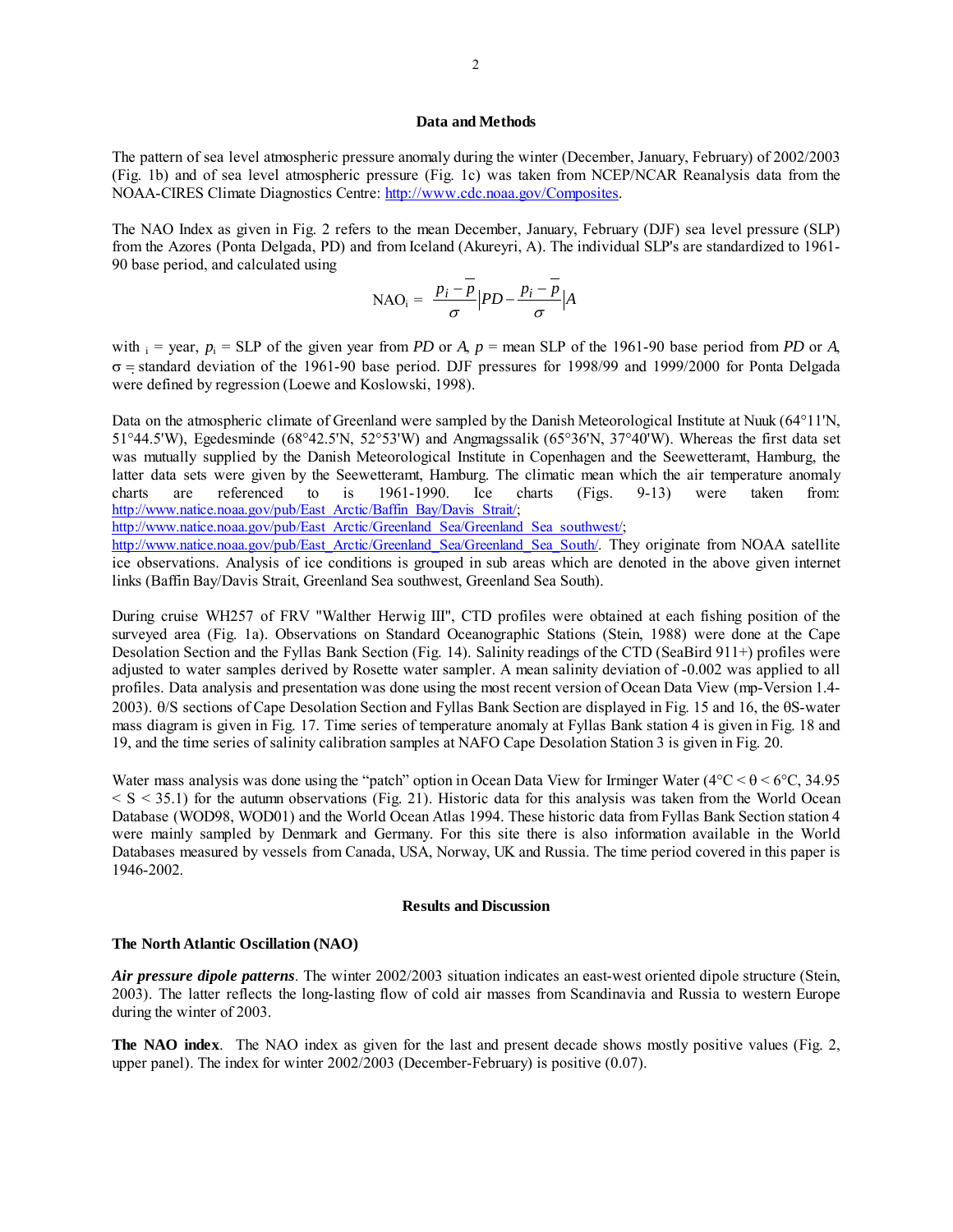#### **Data and Methods**

The pattern of sea level atmospheric pressure anomaly during the winter (December, January, February) of 2002/2003 (Fig. 1b) and of sea level atmospheric pressure (Fig. 1c) was taken from NCEP/NCAR Reanalysis data from the NOAA-CIRES Climate Diagnostics Centre: http://www.cdc.noaa.gov/Composites.

The NAO Index as given in Fig. 2 refers to the mean December, January, February (DJF) sea level pressure (SLP) from the Azores (Ponta Delgada, PD) and from Iceland (Akureyri, A). The individual SLP's are standardized to 1961- 90 base period, and calculated using

$$
\text{NAO}_{i} = \frac{p_{i} - p}{\sigma} \left| PD - \frac{p_{i} - p}{\sigma} \right| A
$$

with  $i = \text{year}, p_i = \text{SLP}$  of the given year from *PD* or *A*,  $p = \text{mean SLP}$  of the 1961-90 base period from *PD* or *A*, σ = standard deviation of the 1961-90 base period. DJF pressures for 1998/99 and 1999/2000 for Ponta Delgada were defined by regression (Loewe and Koslowski, 1998).

Data on the atmospheric climate of Greenland were sampled by the Danish Meteorological Institute at Nuuk (64°11'N, 51°44.5'W), Egedesminde (68°42.5'N, 52°53'W) and Angmagssalik (65°36'N, 37°40'W). Whereas the first data set was mutually supplied by the Danish Meteorological Institute in Copenhagen and the Seewetteramt, Hamburg, the latter data sets were given by the Seewetteramt, Hamburg. The climatic mean which the air temperature anomaly charts are referenced to is 1961-1990. Ice charts (Figs. 9-13) were taken from: http://www.natice.noaa.gov/pub/East\_Arctic/Baffin\_Bay/Davis\_Strait/;

http://www.natice.noaa.gov/pub/East\_Arctic/Greenland\_Sea/Greenland\_Sea\_southwest/;

http://www.natice.noaa.gov/pub/East\_Arctic/Greenland\_Sea/Greenland\_Sea\_South/. They originate from NOAA satellite ice observations. Analysis of ice conditions is grouped in sub areas which are denoted in the above given internet links (Baffin Bay/Davis Strait, Greenland Sea southwest, Greenland Sea South).

During cruise WH257 of FRV "Walther Herwig III", CTD profiles were obtained at each fishing position of the surveyed area (Fig. 1a). Observations on Standard Oceanographic Stations (Stein, 1988) were done at the Cape Desolation Section and the Fyllas Bank Section (Fig. 14). Salinity readings of the CTD (SeaBird 911+) profiles were adjusted to water samples derived by Rosette water sampler. A mean salinity deviation of -0.002 was applied to all profiles. Data analysis and presentation was done using the most recent version of Ocean Data View (mp-Version 1.4- 2003). θ/S sections of Cape Desolation Section and Fyllas Bank Section are displayed in Fig. 15 and 16, the θS-water mass diagram is given in Fig. 17. Time series of temperature anomaly at Fyllas Bank station 4 is given in Fig. 18 and 19, and the time series of salinity calibration samples at NAFO Cape Desolation Station 3 is given in Fig. 20.

Water mass analysis was done using the "patch" option in Ocean Data View for Irminger Water ( $4^{\circ}C < \theta < 6^{\circ}C$ , 34.95  $\le S \le 35.1$ ) for the autumn observations (Fig. 21). Historic data for this analysis was taken from the World Ocean Database (WOD98, WOD01) and the World Ocean Atlas 1994. These historic data from Fyllas Bank Section station 4 were mainly sampled by Denmark and Germany. For this site there is also information available in the World Databases measured by vessels from Canada, USA, Norway, UK and Russia. The time period covered in this paper is 1946-2002.

## **Results and Discussion**

#### **The North Atlantic Oscillation (NAO)**

*Air pressure dipole patterns*. The winter 2002/2003 situation indicates an east-west oriented dipole structure (Stein, 2003). The latter reflects the long-lasting flow of cold air masses from Scandinavia and Russia to western Europe during the winter of 2003.

**The NAO index**. The NAO index as given for the last and present decade shows mostly positive values (Fig. 2, upper panel). The index for winter 2002/2003 (December-February) is positive (0.07).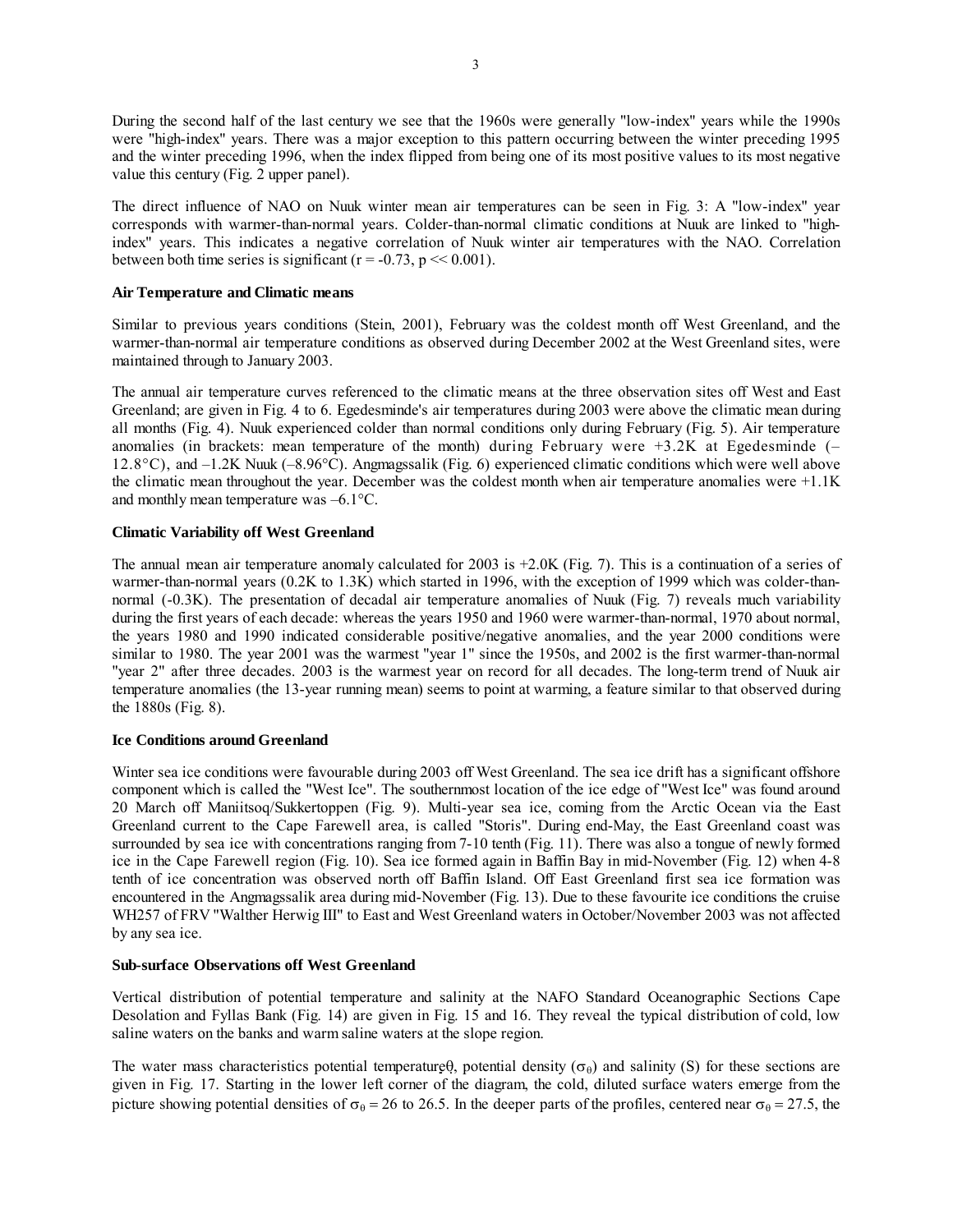During the second half of the last century we see that the 1960s were generally "low-index" years while the 1990s were "high-index" years. There was a major exception to this pattern occurring between the winter preceding 1995 and the winter preceding 1996, when the index flipped from being one of its most positive values to its most negative value this century (Fig. 2 upper panel).

The direct influence of NAO on Nuuk winter mean air temperatures can be seen in Fig. 3: A "low-index" year corresponds with warmer-than-normal years. Colder-than-normal climatic conditions at Nuuk are linked to "highindex" years. This indicates a negative correlation of Nuuk winter air temperatures with the NAO. Correlation between both time series is significant ( $r = -0.73$ ,  $p \ll 0.001$ ).

### **Air Temperature and Climatic means**

Similar to previous years conditions (Stein, 2001), February was the coldest month off West Greenland, and the warmer-than-normal air temperature conditions as observed during December 2002 at the West Greenland sites, were maintained through to January 2003.

The annual air temperature curves referenced to the climatic means at the three observation sites off West and East Greenland; are given in Fig. 4 to 6. Egedesminde's air temperatures during 2003 were above the climatic mean during all months (Fig. 4). Nuuk experienced colder than normal conditions only during February (Fig. 5). Air temperature anomalies (in brackets: mean temperature of the month) during February were  $+3.2K$  at Egedesminde (– 12.8°C), and –1.2K Nuuk (–8.96°C). Angmagssalik (Fig. 6) experienced climatic conditions which were well above the climatic mean throughout the year. December was the coldest month when air temperature anomalies were +1.1K and monthly mean temperature was –6.1°C.

# **Climatic Variability off West Greenland**

The annual mean air temperature anomaly calculated for 2003 is +2.0K (Fig. 7). This is a continuation of a series of warmer-than-normal years (0.2K to 1.3K) which started in 1996, with the exception of 1999 which was colder-thannormal (-0.3K). The presentation of decadal air temperature anomalies of Nuuk (Fig. 7) reveals much variability during the first years of each decade: whereas the years 1950 and 1960 were warmer-than-normal, 1970 about normal, the years 1980 and 1990 indicated considerable positive/negative anomalies, and the year 2000 conditions were similar to 1980. The year 2001 was the warmest "year 1" since the 1950s, and 2002 is the first warmer-than-normal "year 2" after three decades. 2003 is the warmest year on record for all decades. The long-term trend of Nuuk air temperature anomalies (the 13-year running mean) seems to point at warming, a feature similar to that observed during the 1880s (Fig. 8).

### **Ice Conditions around Greenland**

Winter sea ice conditions were favourable during 2003 off West Greenland. The sea ice drift has a significant offshore component which is called the "West Ice". The southernmost location of the ice edge of "West Ice" was found around 20 March off Maniitsoq/Sukkertoppen (Fig. 9). Multi-year sea ice, coming from the Arctic Ocean via the East Greenland current to the Cape Farewell area, is called "Storis". During end-May, the East Greenland coast was surrounded by sea ice with concentrations ranging from 7-10 tenth (Fig. 11). There was also a tongue of newly formed ice in the Cape Farewell region (Fig. 10). Sea ice formed again in Baffin Bay in mid-November (Fig. 12) when 4-8 tenth of ice concentration was observed north off Baffin Island. Off East Greenland first sea ice formation was encountered in the Angmagssalik area during mid-November (Fig. 13). Due to these favourite ice conditions the cruise WH257 of FRV "Walther Herwig III" to East and West Greenland waters in October/November 2003 was not affected by any sea ice.

### **Sub-surface Observations off West Greenland**

Vertical distribution of potential temperature and salinity at the NAFO Standard Oceanographic Sections Cape Desolation and Fyllas Bank (Fig. 14) are given in Fig. 15 and 16. They reveal the typical distribution of cold, low saline waters on the banks and warm saline waters at the slope region.

The water mass characteristics potential temperature $\theta$ , potential density ( $\sigma_{\theta}$ ) and salinity (S) for these sections are given in Fig. 17. Starting in the lower left corner of the diagram, the cold, diluted surface waters emerge from the picture showing potential densities of  $\sigma_{\theta} = 26$  to 26.5. In the deeper parts of the profiles, centered near  $\sigma_{\theta} = 27.5$ , the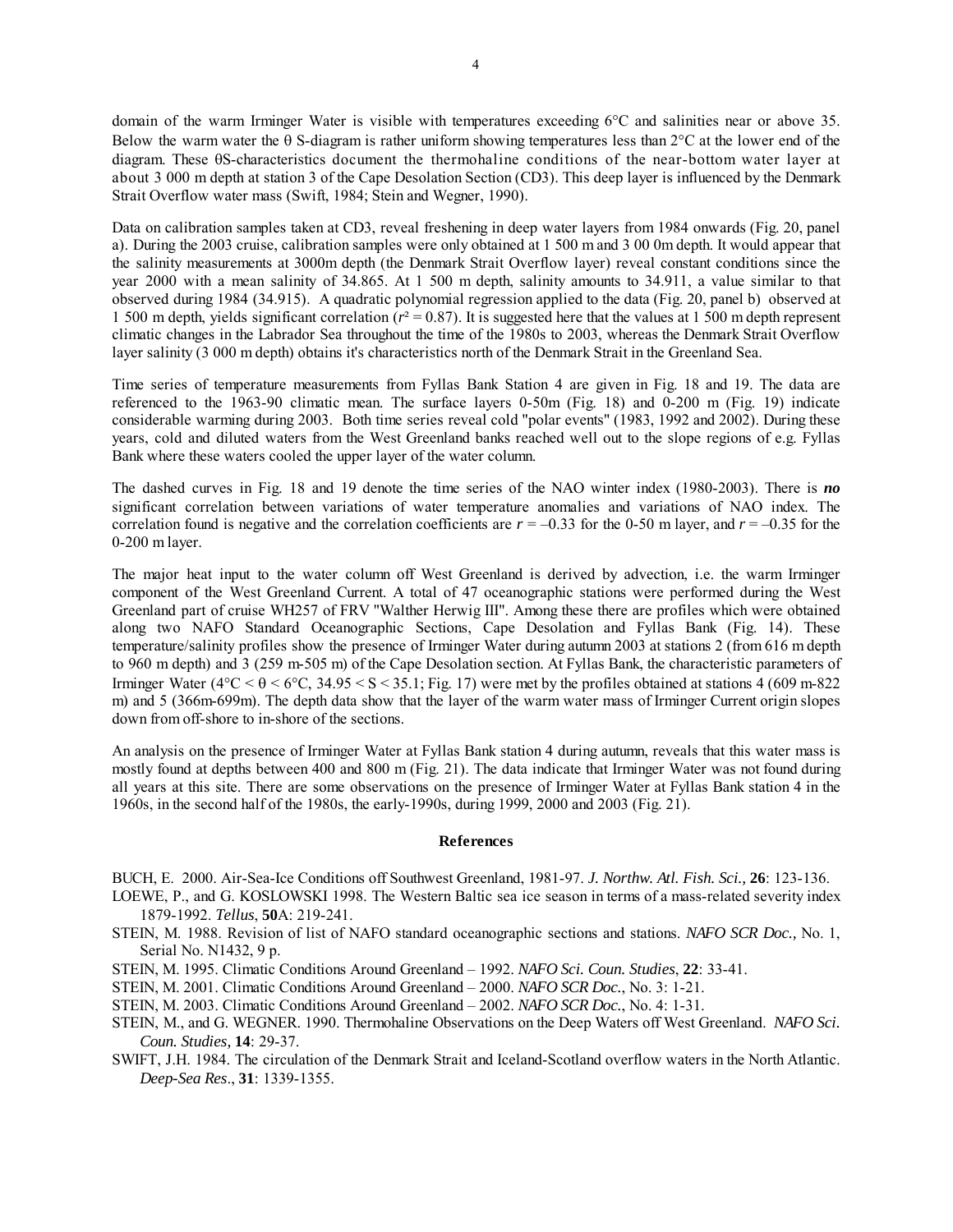domain of the warm Irminger Water is visible with temperatures exceeding 6°C and salinities near or above 35. Below the warm water the θ S-diagram is rather uniform showing temperatures less than 2°C at the lower end of the diagram. These θS-characteristics document the thermohaline conditions of the near-bottom water layer at about 3 000 m depth at station 3 of the Cape Desolation Section (CD3). This deep layer is influenced by the Denmark Strait Overflow water mass (Swift, 1984; Stein and Wegner, 1990).

Data on calibration samples taken at CD3, reveal freshening in deep water layers from 1984 onwards (Fig. 20, panel a). During the 2003 cruise, calibration samples were only obtained at 1 500 m and 3 00 0m depth. It would appear that the salinity measurements at 3000m depth (the Denmark Strait Overflow layer) reveal constant conditions since the year 2000 with a mean salinity of 34.865. At 1 500 m depth, salinity amounts to 34.911, a value similar to that observed during 1984 (34.915). A quadratic polynomial regression applied to the data (Fig. 20, panel b) observed at 1 500 m depth, yields significant correlation ( $r^2$  = 0.87). It is suggested here that the values at 1 500 m depth represent climatic changes in the Labrador Sea throughout the time of the 1980s to 2003, whereas the Denmark Strait Overflow layer salinity (3 000 m depth) obtains it's characteristics north of the Denmark Strait in the Greenland Sea.

Time series of temperature measurements from Fyllas Bank Station 4 are given in Fig. 18 and 19. The data are referenced to the 1963-90 climatic mean. The surface layers 0-50m (Fig. 18) and 0-200 m (Fig. 19) indicate considerable warming during 2003. Both time series reveal cold "polar events" (1983, 1992 and 2002). During these years, cold and diluted waters from the West Greenland banks reached well out to the slope regions of e.g. Fyllas Bank where these waters cooled the upper layer of the water column.

The dashed curves in Fig. 18 and 19 denote the time series of the NAO winter index (1980-2003). There is *no* significant correlation between variations of water temperature anomalies and variations of NAO index. The correlation found is negative and the correlation coefficients are  $r = -0.33$  for the 0-50 m layer, and  $r = -0.35$  for the 0-200 m layer.

The major heat input to the water column off West Greenland is derived by advection, i.e. the warm Irminger component of the West Greenland Current. A total of 47 oceanographic stations were performed during the West Greenland part of cruise WH257 of FRV "Walther Herwig III". Among these there are profiles which were obtained along two NAFO Standard Oceanographic Sections, Cape Desolation and Fyllas Bank (Fig. 14). These temperature/salinity profiles show the presence of Irminger Water during autumn 2003 at stations 2 (from 616 m depth to 960 m depth) and 3 (259 m-505 m) of the Cape Desolation section. At Fyllas Bank, the characteristic parameters of Irminger Water ( $4^{\circ}$ C <  $\theta$  <  $6^{\circ}$ C, 34.95 < S < 35.1; Fig. 17) were met by the profiles obtained at stations 4 (609 m-822) m) and 5 (366m-699m). The depth data show that the layer of the warm water mass of Irminger Current origin slopes down from off-shore to in-shore of the sections.

An analysis on the presence of Irminger Water at Fyllas Bank station 4 during autumn, reveals that this water mass is mostly found at depths between 400 and 800 m (Fig. 21). The data indicate that Irminger Water was not found during all years at this site. There are some observations on the presence of Irminger Water at Fyllas Bank station 4 in the 1960s, in the second half of the 1980s, the early-1990s, during 1999, 2000 and 2003 (Fig. 21).

### **References**

BUCH, E. 2000. Air-Sea-Ice Conditions off Southwest Greenland, 1981-97. *J. Northw. Atl. Fish. Sci.,* **26**: 123-136.

- LOEWE, P., and G. KOSLOWSKI 1998. The Western Baltic sea ice season in terms of a mass-related severity index 1879-1992. *Tellus*, **50**A: 219-241.
- STEIN, M. 1988. Revision of list of NAFO standard oceanographic sections and stations. *NAFO SCR Doc.,* No. 1, Serial No. N1432, 9 p.
- STEIN, M. 1995. Climatic Conditions Around Greenland 1992. *NAFO Sci. Coun. Studies*, **22**: 33-41.
- STEIN, M. 2001. Climatic Conditions Around Greenland 2000. *NAFO SCR Doc.*, No. 3: 1-21.
- STEIN, M. 2003. Climatic Conditions Around Greenland 2002. *NAFO SCR Doc.*, No. 4: 1-31.
- STEIN, M., and G. WEGNER. 1990. Thermohaline Observations on the Deep Waters off West Greenland. *NAFO Sci. Coun. Studies,* **14**: 29-37.
- SWIFT, J.H. 1984. The circulation of the Denmark Strait and Iceland-Scotland overflow waters in the North Atlantic. *Deep-Sea Res*., **31**: 1339-1355.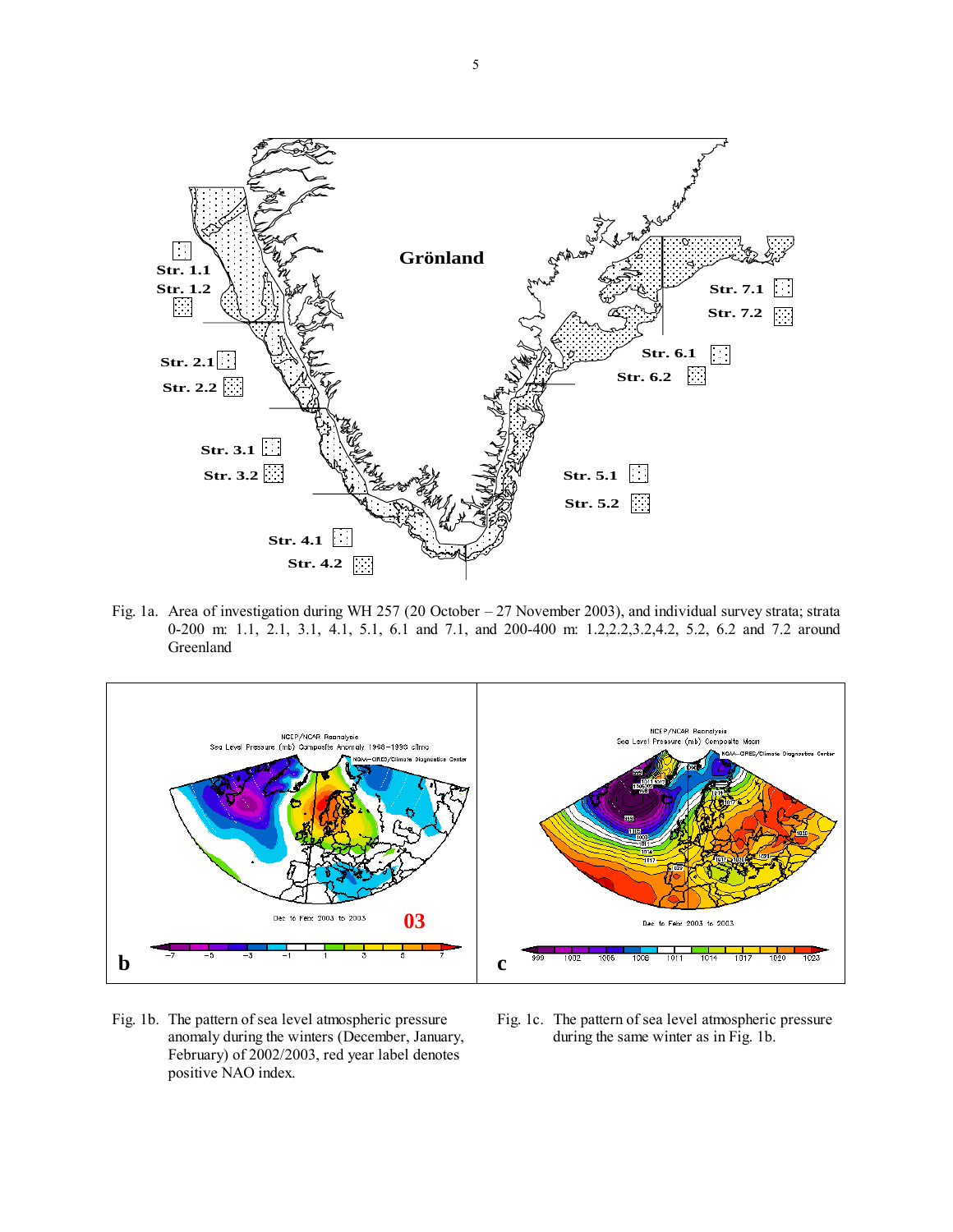

Fig. 1a. Area of investigation during WH 257 (20 October – 27 November 2003), and individual survey strata; strata 0-200 m: 1.1, 2.1, 3.1, 4.1, 5.1, 6.1 and 7.1, and 200-400 m: 1.2,2.2,3.2,4.2, 5.2, 6.2 and 7.2 around Greenland



- anomaly during the winters (December, January, during the same winter as in Fig. 1b. February) of 2002/2003, red year label denotes positive NAO index.
- Fig. 1b. The pattern of sea level atmospheric pressure Fig. 1c. The pattern of sea level atmospheric pressure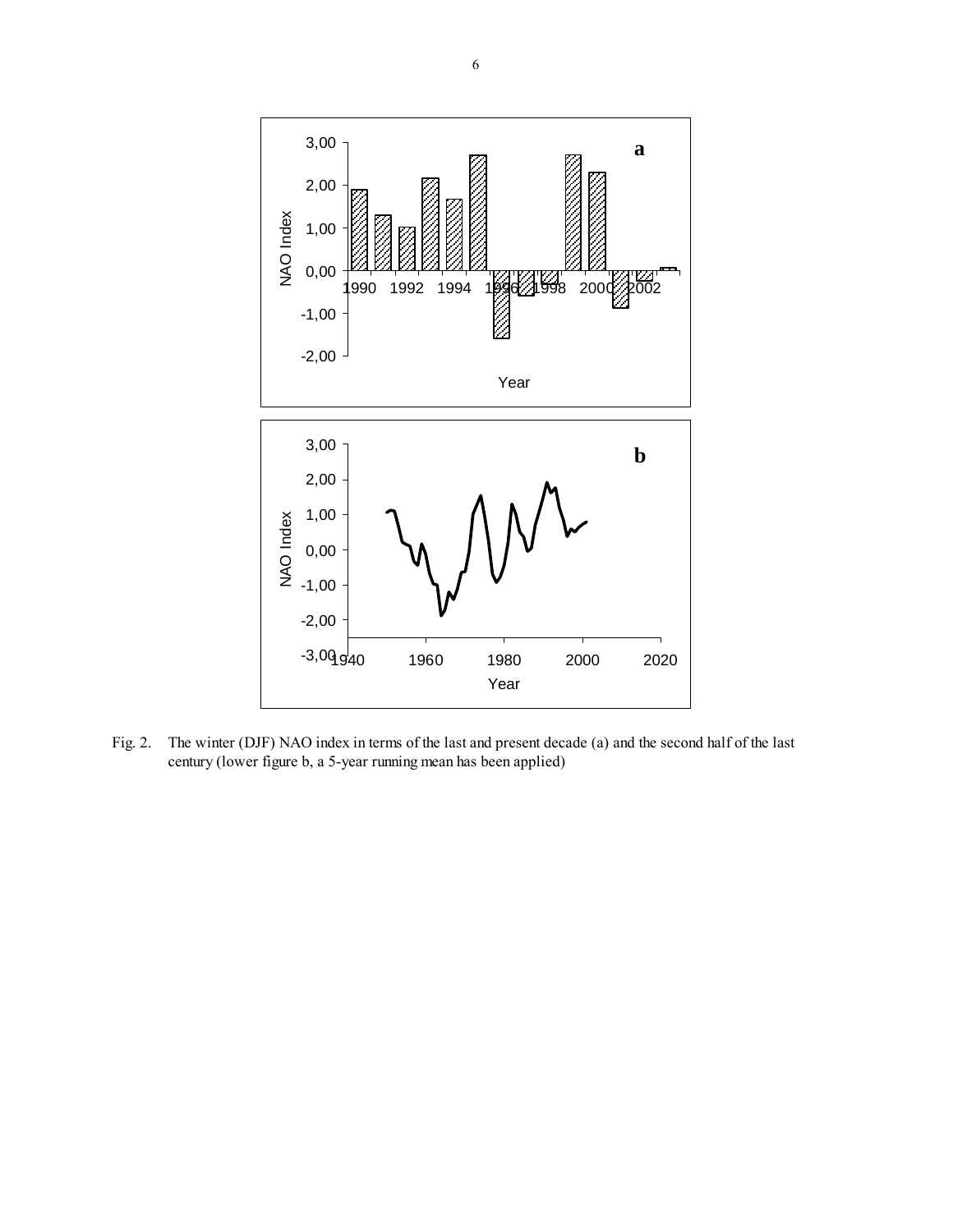

Fig. 2. The winter (DJF) NAO index in terms of the last and present decade (a) and the second half of the last century (lower figure b, a 5-year running mean has been applied)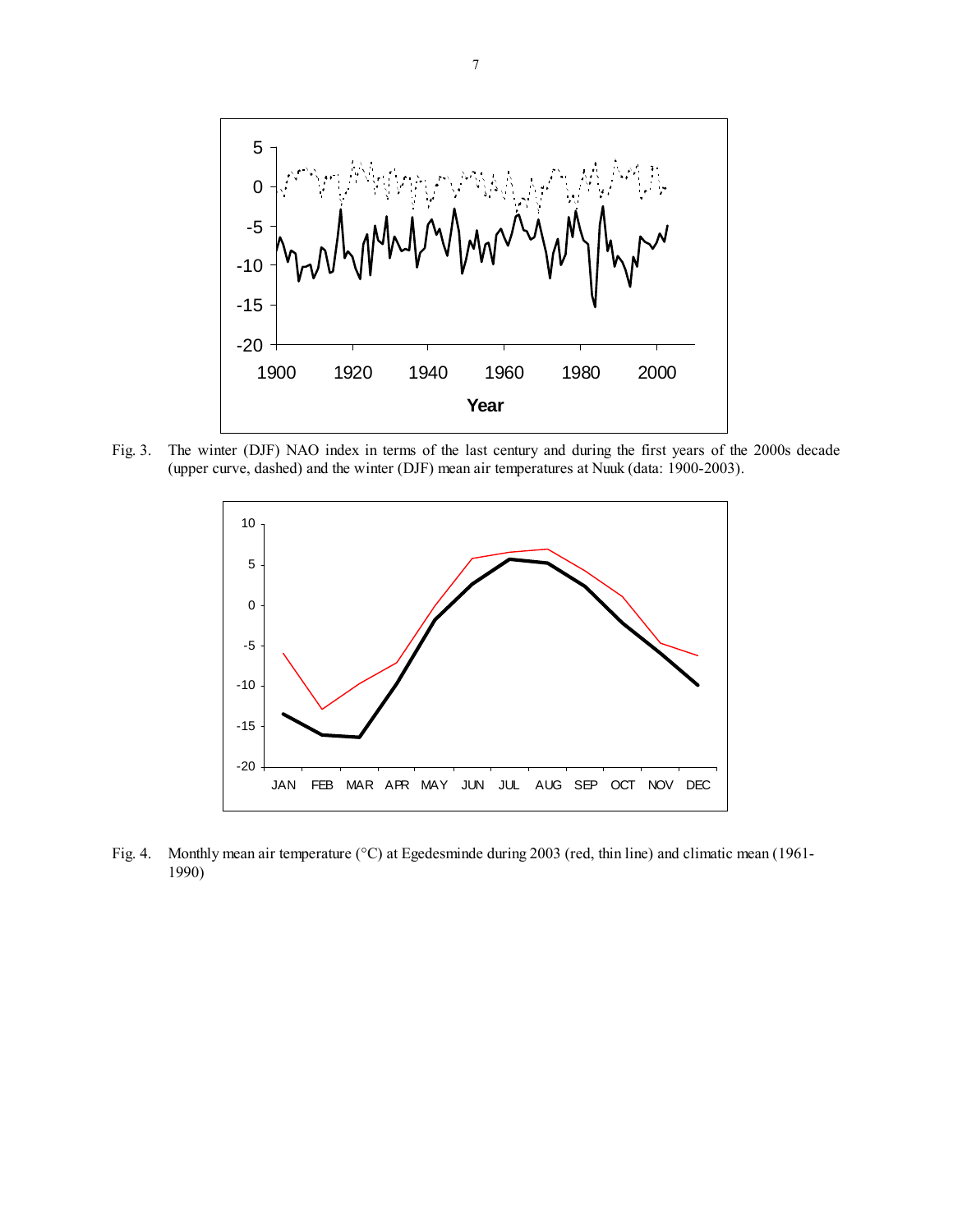

Fig. 3. The winter (DJF) NAO index in terms of the last century and during the first years of the 2000s decade (upper curve, dashed) and the winter (DJF) mean air temperatures at Nuuk (data: 1900-2003).



Fig. 4. Monthly mean air temperature (°C) at Egedesminde during 2003 (red, thin line) and climatic mean (1961- 1990)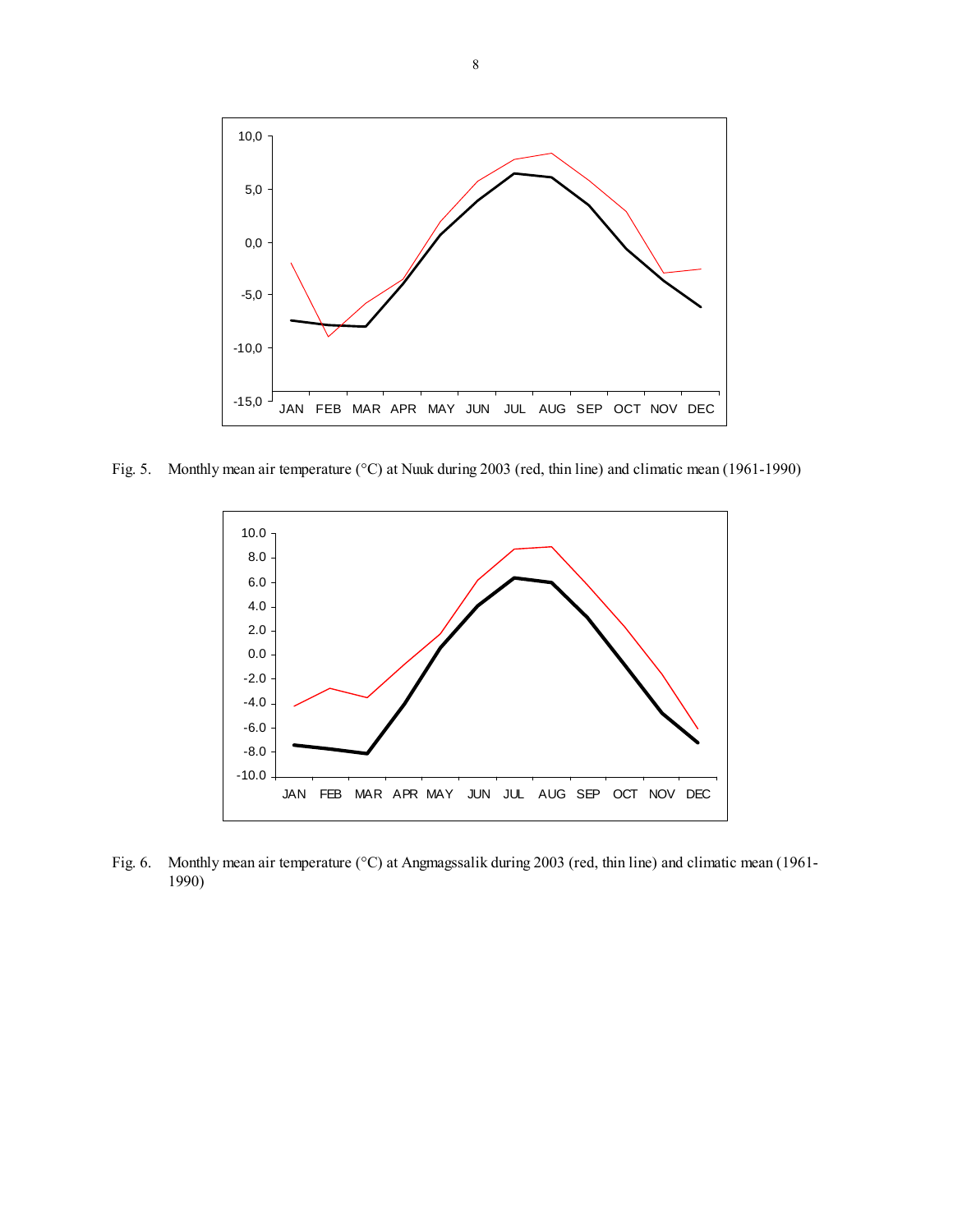

Fig. 5. Monthly mean air temperature (°C) at Nuuk during 2003 (red, thin line) and climatic mean (1961-1990)



Fig. 6. Monthly mean air temperature (°C) at Angmagssalik during 2003 (red, thin line) and climatic mean (1961- 1990)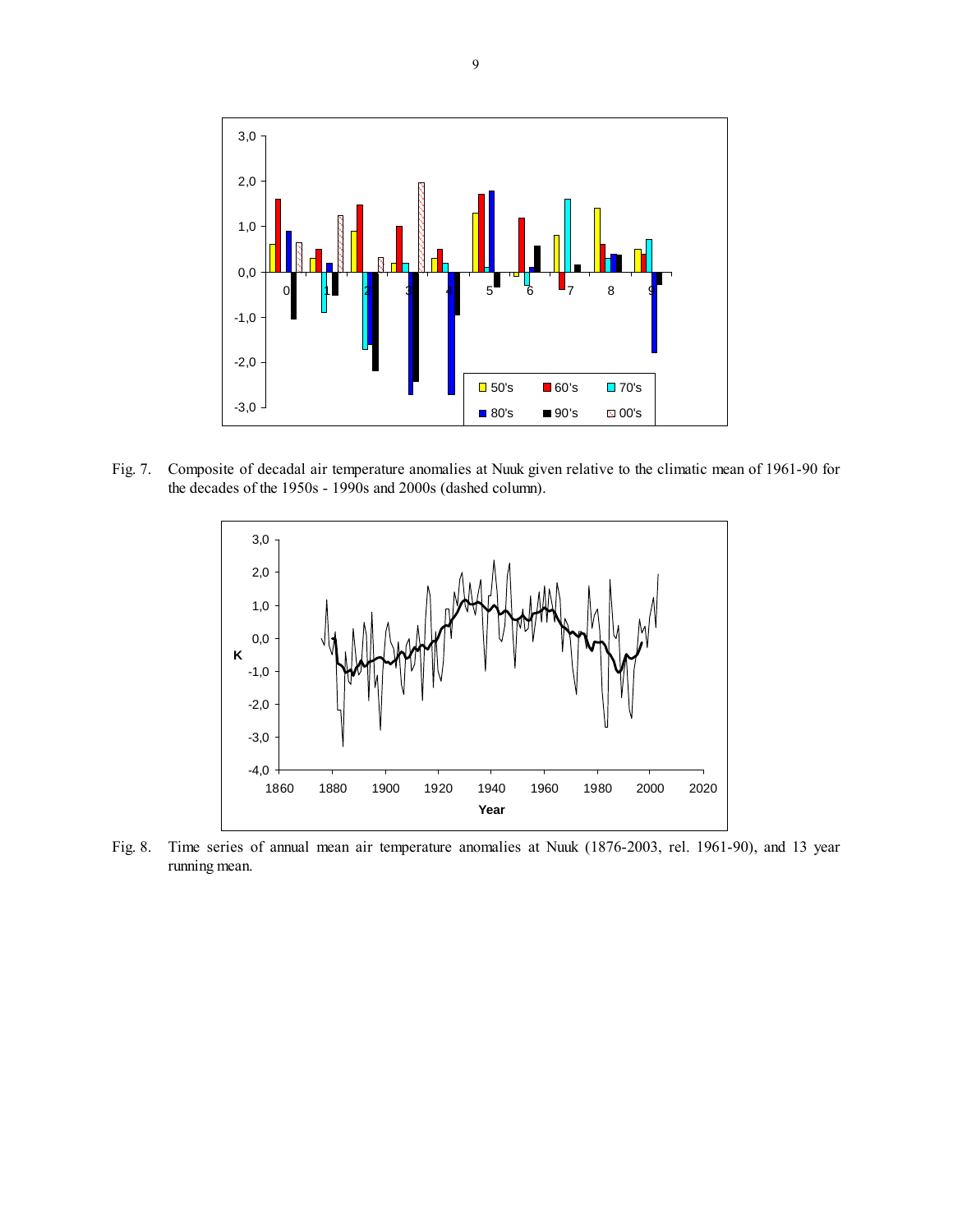

Fig. 7. Composite of decadal air temperature anomalies at Nuuk given relative to the climatic mean of 1961-90 for the decades of the 1950s - 1990s and 2000s (dashed column).



Fig. 8. Time series of annual mean air temperature anomalies at Nuuk (1876-2003, rel. 1961-90), and 13 year running mean.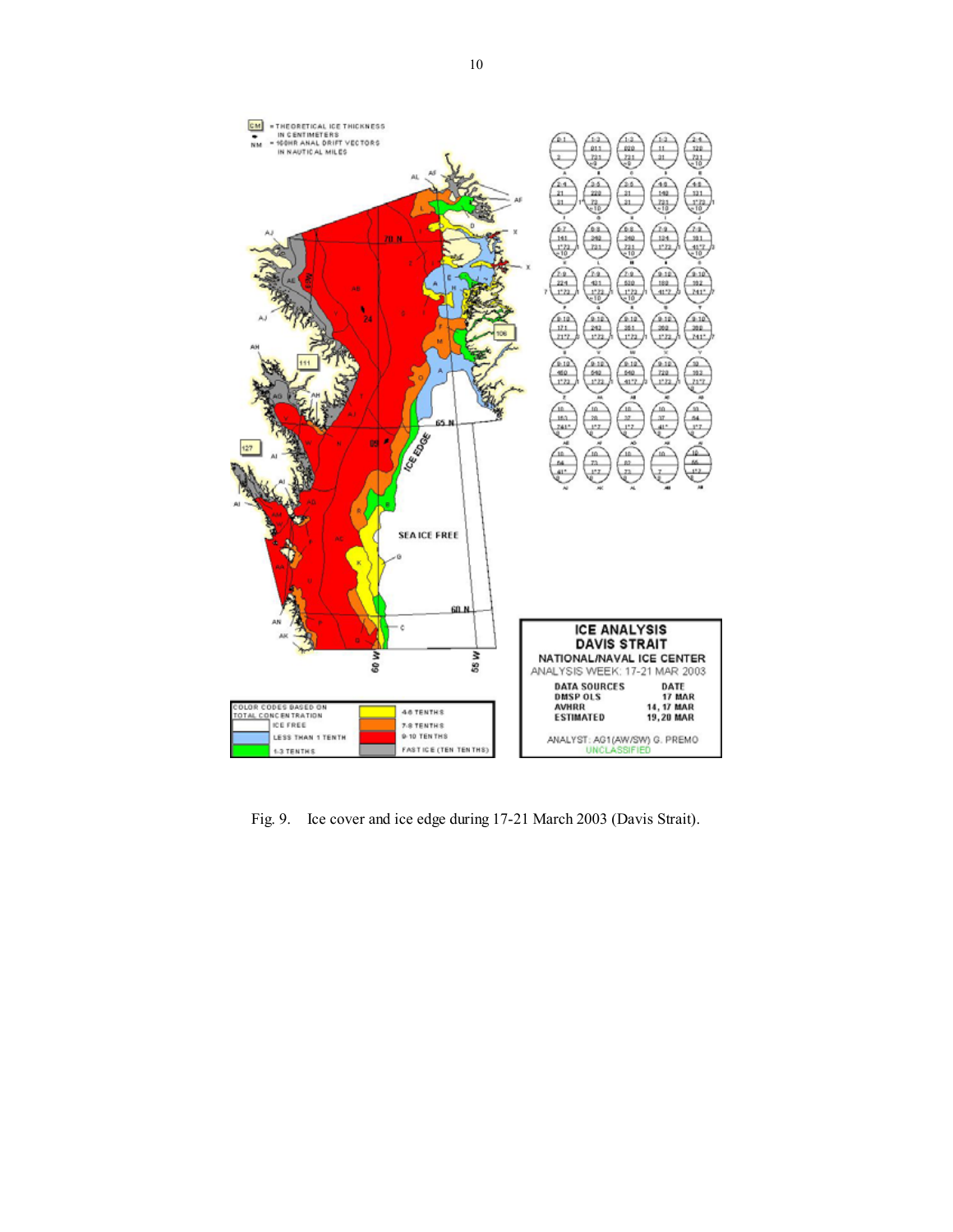

Fig. 9. Ice cover and ice edge during 17-21 March 2003 (Davis Strait).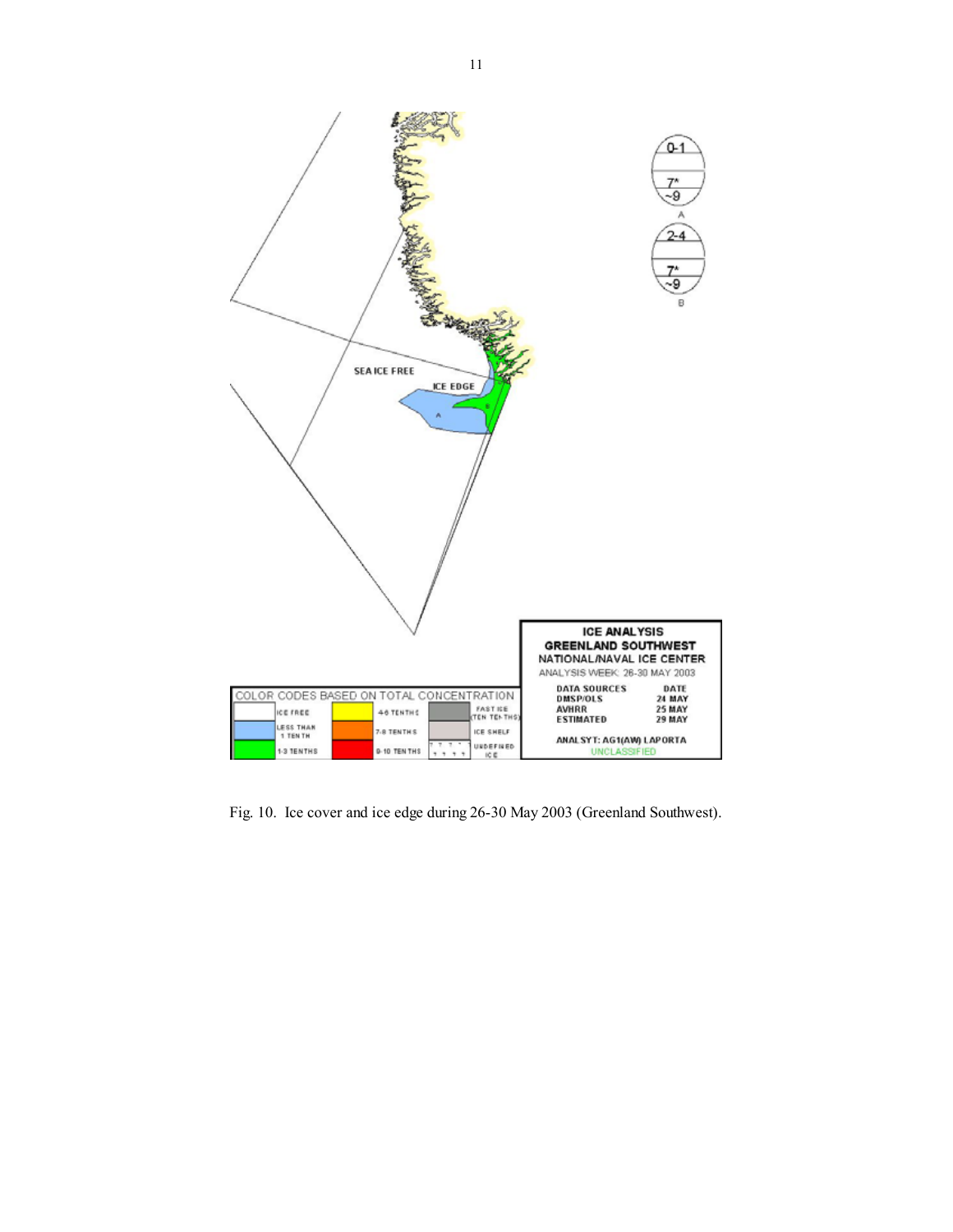

Fig. 10. Ice cover and ice edge during 26-30 May 2003 (Greenland Southwest).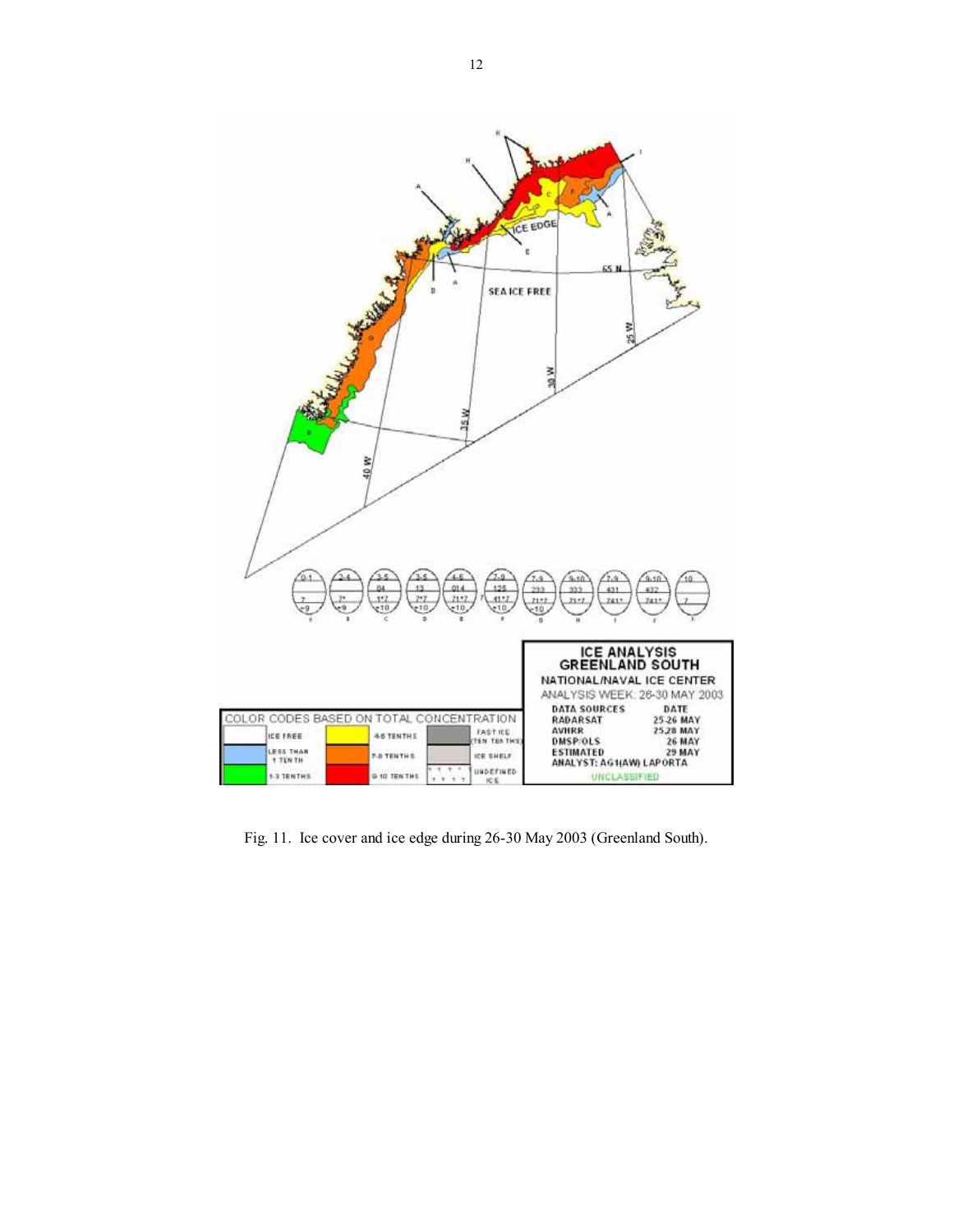

Fig. 11. Ice cover and ice edge during 26-30 May 2003 (Greenland South).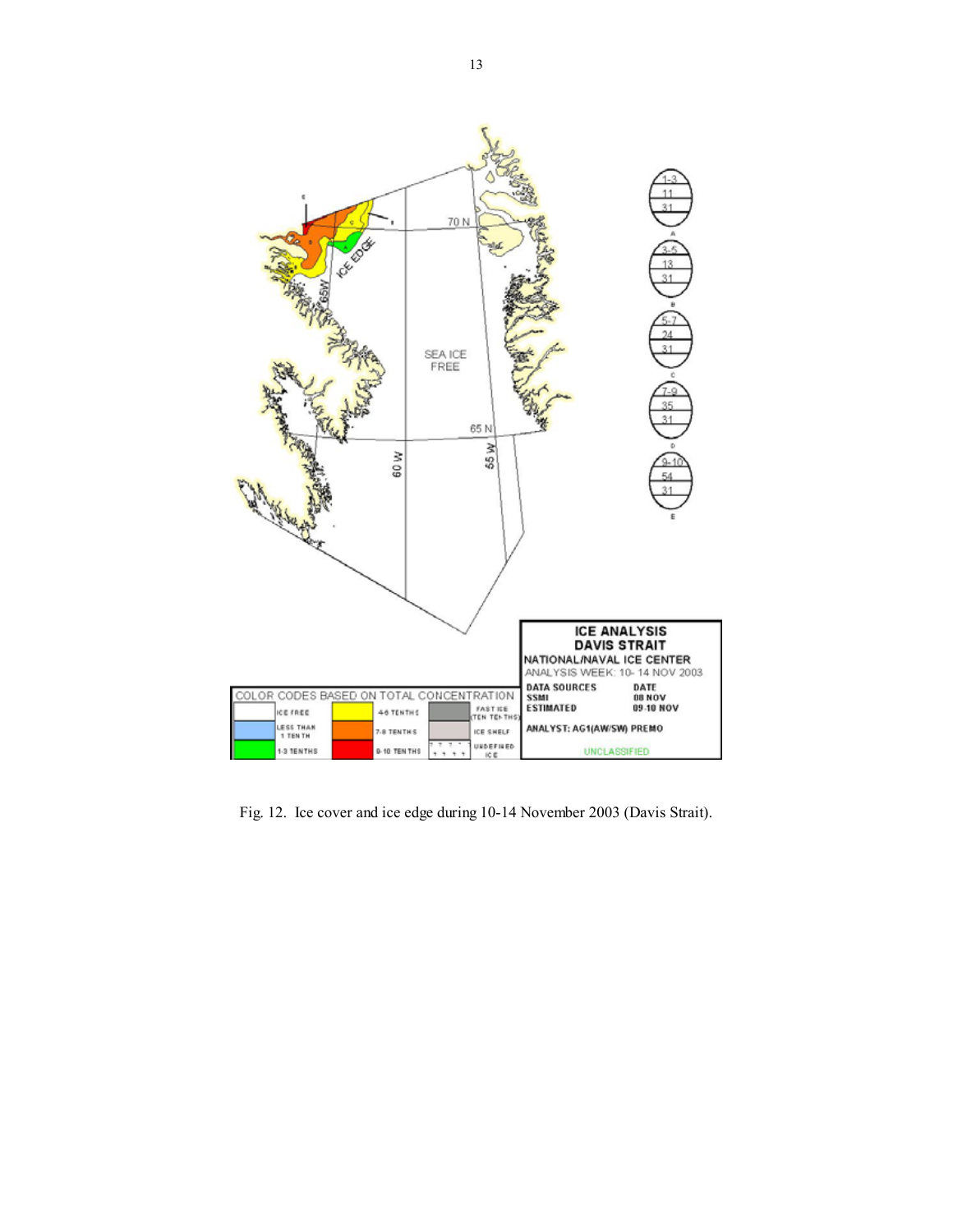

Fig. 12. Ice cover and ice edge during 10-14 November 2003 (Davis Strait).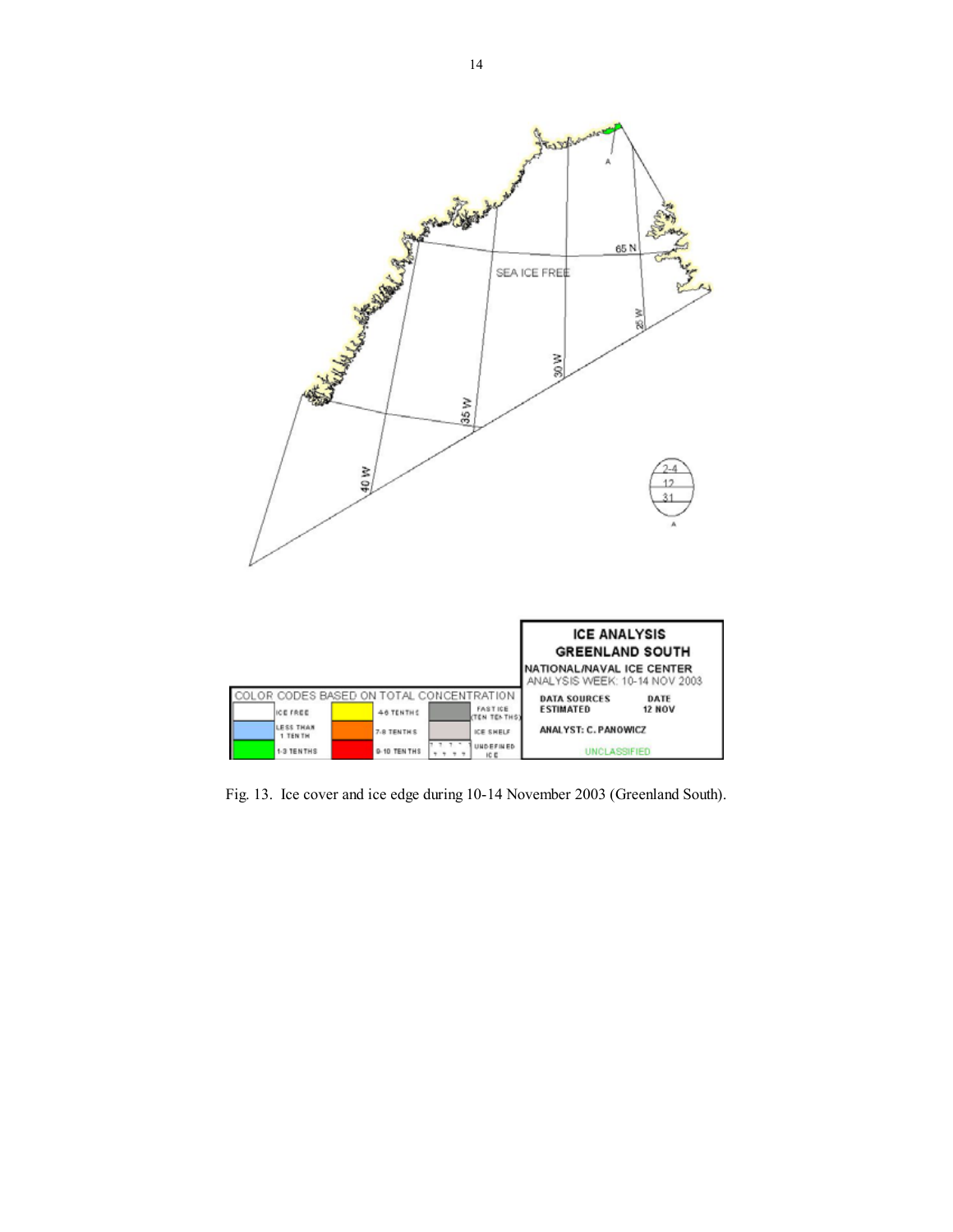

Fig. 13. Ice cover and ice edge during 10-14 November 2003 (Greenland South).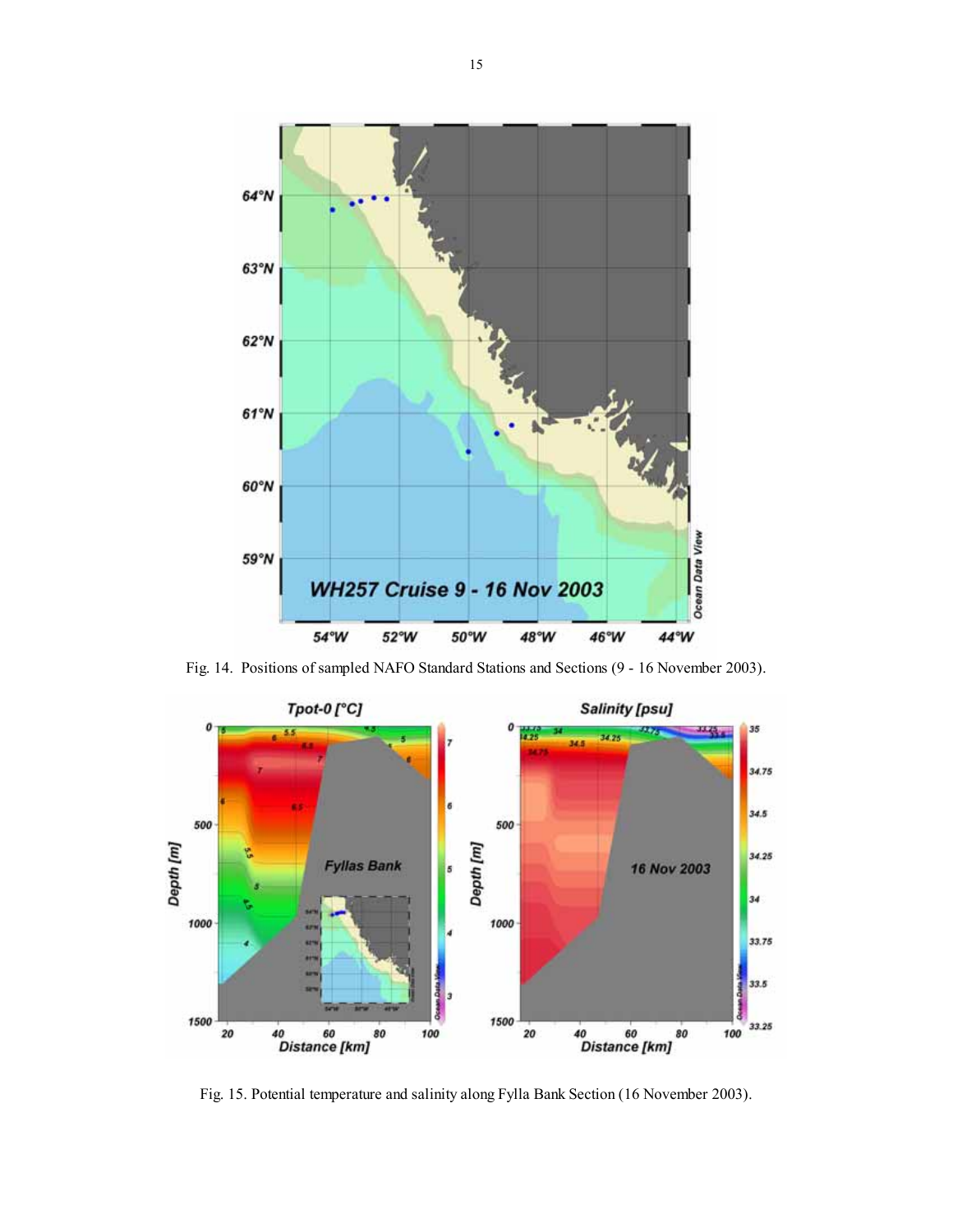

Fig. 14. Positions of sampled NAFO Standard Stations and Sections (9 - 16 November 2003).



Fig. 15. Potential temperature and salinity along Fylla Bank Section (16 November 2003).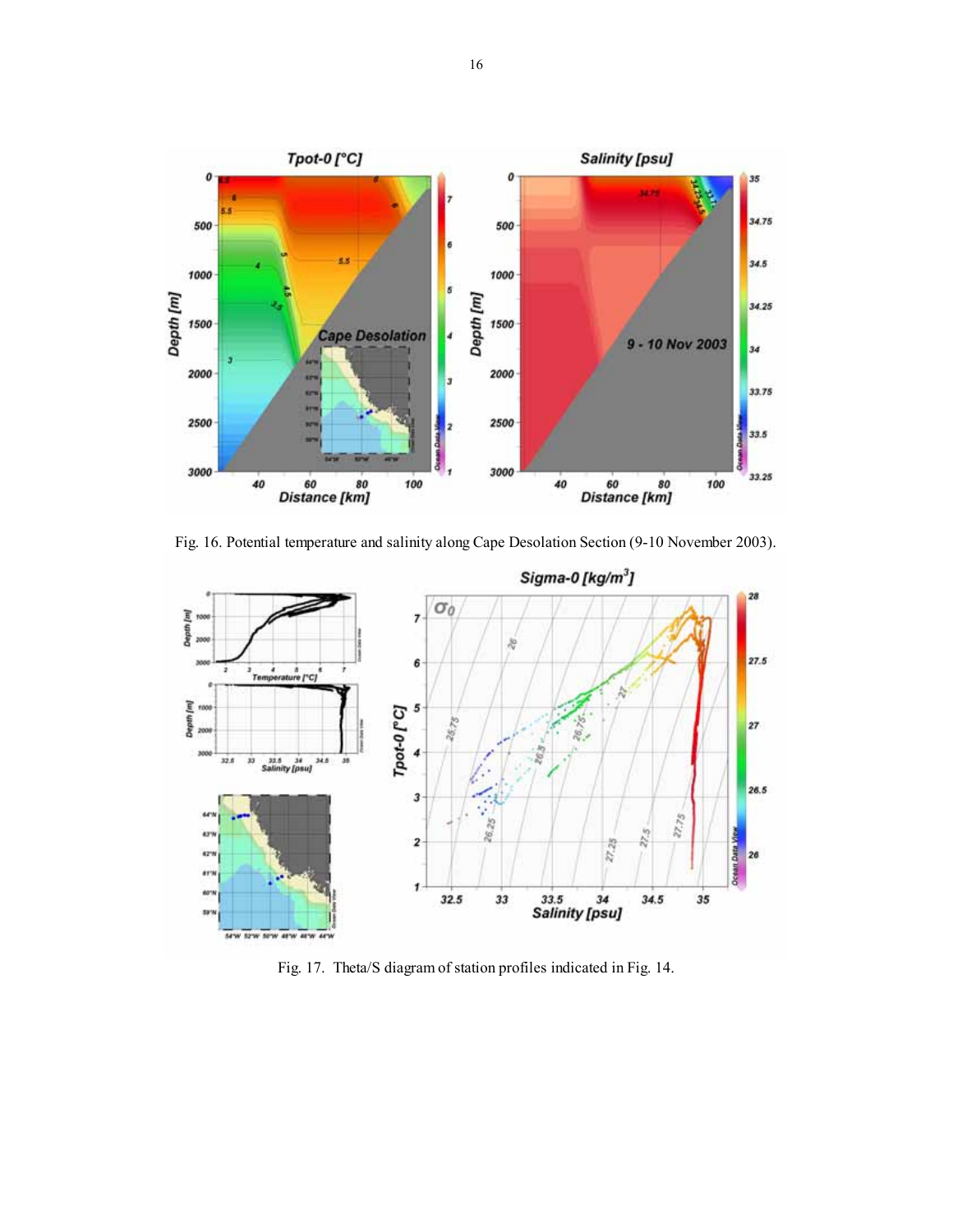

Fig. 16. Potential temperature and salinity along Cape Desolation Section (9-10 November 2003).



Fig. 17. Theta/S diagram of station profiles indicated in Fig. 14.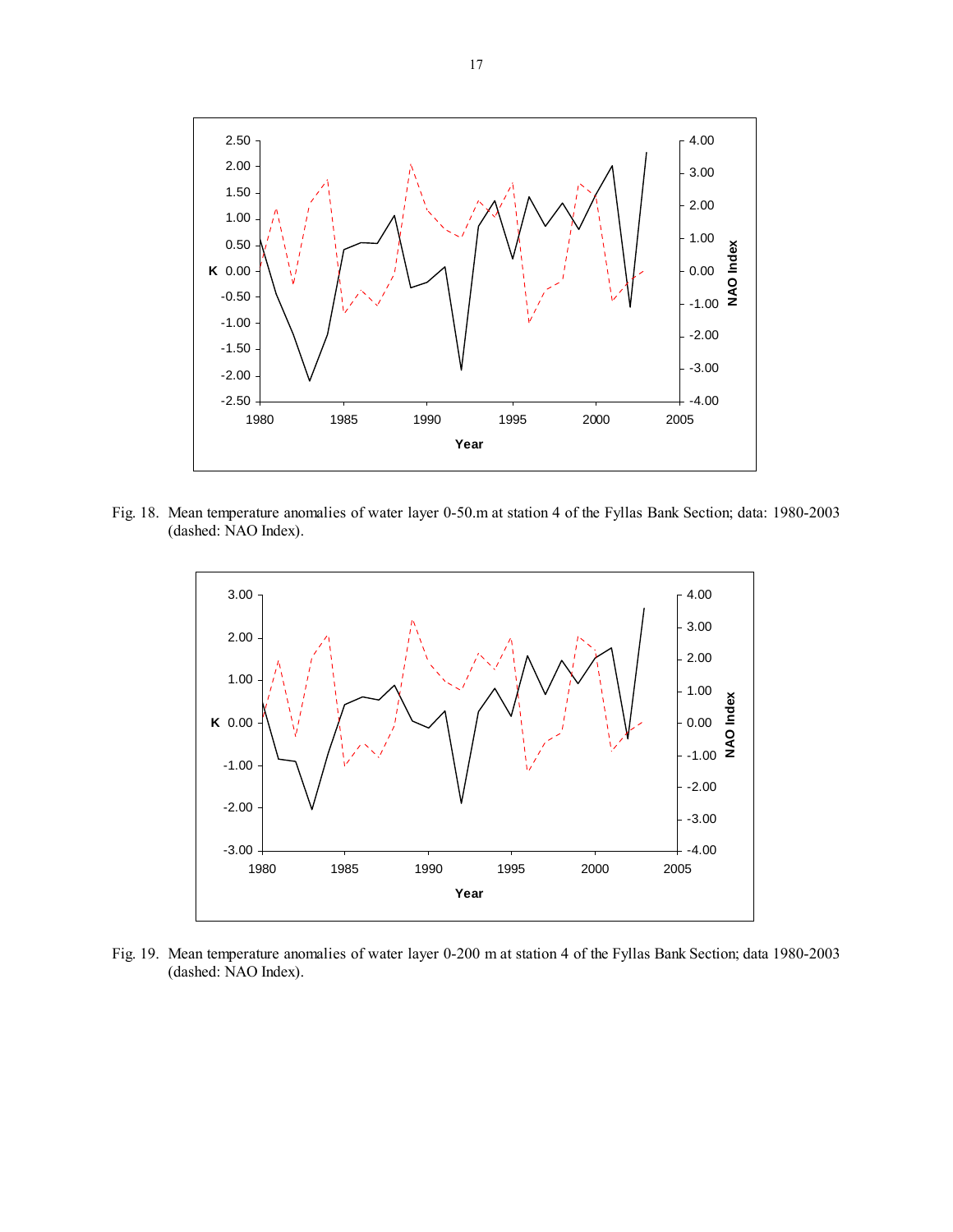

Fig. 18. Mean temperature anomalies of water layer 0-50.m at station 4 of the Fyllas Bank Section; data: 1980-2003 (dashed: NAO Index).



Fig. 19. Mean temperature anomalies of water layer 0-200 m at station 4 of the Fyllas Bank Section; data 1980-2003 (dashed: NAO Index).